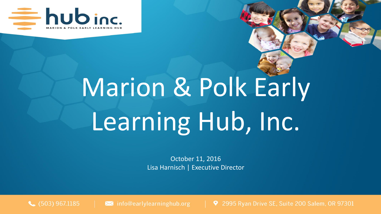

# Marion & Polk Early Learning Hub, Inc.

October 11, 2016 Lisa Harnisch | Executive Director

 $\bigcup$  (503) 967.1185

 $\blacktriangleright$  info@earlylearninghub.org

9 2995 Ryan Drive SE, Suite 200 Salem, OR 97301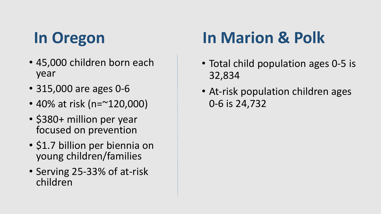## **In Oregon**

- 45,000 children born each year
- 315,000 are ages 0-6
- 40% at risk (n=~120,000)
- \$380+ million per year focused on prevention
- \$1.7 billion per biennia on young children/families
- Serving 25-33% of at-risk children

## **In Marion & Polk**

- Total child population ages 0-5 is 32,834
- At-risk population children ages 0-6 is 24,732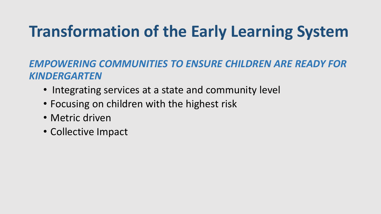## **Transformation of the Early Learning System**

#### *EMPOWERING COMMUNITIES TO ENSURE CHILDREN ARE READY FOR KINDERGARTEN*

- Integrating services at a state and community level
- Focusing on children with the highest risk
- Metric driven
- Collective Impact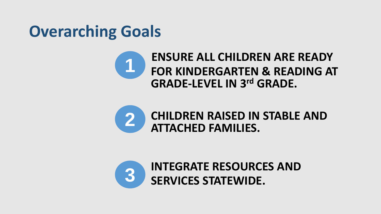#### **Overarching Goals**





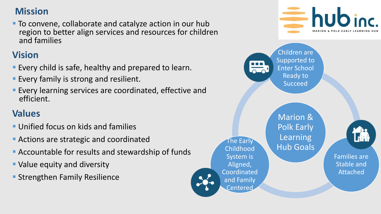#### **Mission**

**To convene, collaborate and catalyze action in our hub**  region to better align services and resources for children and families

#### **Vision**

- **Every child is safe, healthy and prepared to learn.**
- **Every family is strong and resilient.**
- Every learning services are coordinated, effective and efficient.

#### **Values**

- **Unified focus on kids and families**
- **Actions are strategic and coordinated**
- Accountable for results and stewardship of funds
- Value equity and diversity
- **Strengthen Family Resilience**

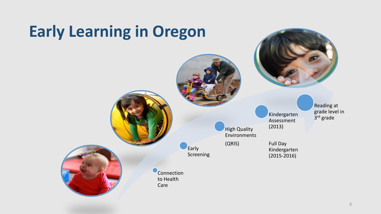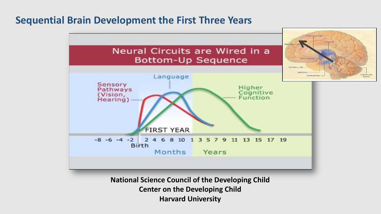#### **Sequential Brain Development the First Three Years**



**Harvard University**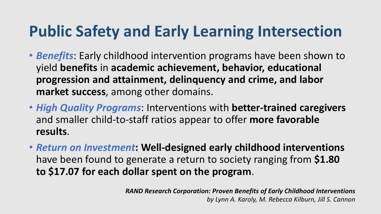#### **Public Safety and Early Learning Intersection**

- *Benefits*: Early childhood intervention programs have been shown to yield **benefits** in **academic achievement, behavior, educational progression and attainment, delinquency and crime, and labor market success**, among other domains.
- *High Quality Programs*: Interventions with **better-trained caregivers**  and smaller child-to-staff ratios appear to offer **more favorable results**.
- *Return on Investment***: Well-designed early childhood interventions**  have been found to generate a return to society ranging from **\$1.80 to \$17.07 for each dollar spent on the program**.

*RAND Research Corporation: Proven Benefits of Early Childhood Interventions by Lynn A. Karoly, M. Rebecca Kilburn, Jill S. Cannon*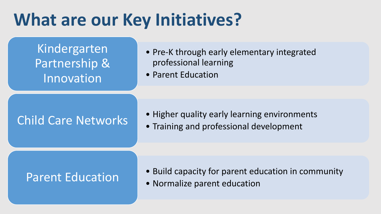## **What are our Key Initiatives?**

Kindergarten Partnership & Innovation

- Pre-K through early elementary integrated professional learning
- Parent Education

#### Child Care Networks • Training and professional development

- Higher quality early learning environments
- 

#### Parent Education • Normalize parent education

- Build capacity for parent education in community
-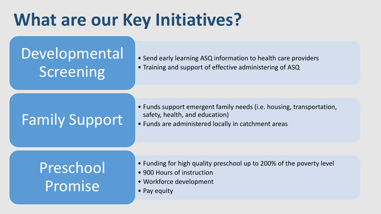## **What are our Key Initiatives?**

#### Developmental **Screening**

- Send early learning ASQ information to health care providers
- Training and support of effective administering of ASQ

### Family Support • Funds are administered locally in catchment areas

- Funds support emergent family needs (i.e. housing, transportation,
- 

#### Preschool Promise

- Funding for high quality preschool up to 200% of the poverty level
- 900 Hours of instruction
- Workforce development
- Pay equity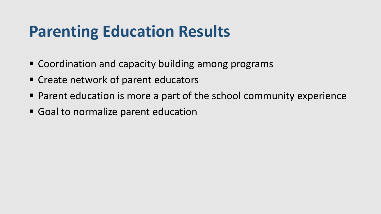#### **Parenting Education Results**

- Coordination and capacity building among programs
- Create network of parent educators
- Parent education is more a part of the school community experience
- Goal to normalize parent education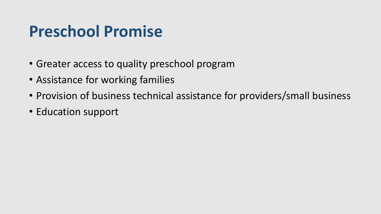#### **Preschool Promise**

- Greater access to quality preschool program
- Assistance for working families
- Provision of business technical assistance for providers/small business
- Education support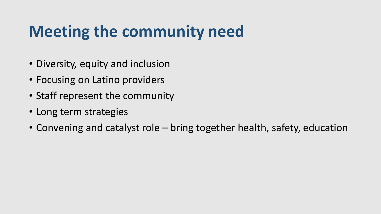## **Meeting the community need**

- Diversity, equity and inclusion
- Focusing on Latino providers
- Staff represent the community
- Long term strategies
- Convening and catalyst role bring together health, safety, education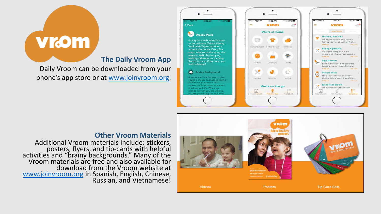# **Vrom**

#### **The Daily Vroom App**

Daily Vroom can be downloaded from your phone's app store or at [www.joinvroom.org](http://www.joinvroom.org/).





#### **Other Vroom Materials**

Additional Vroom materials include: stickers, posters, flyers, and tip-cards with helpful activities and "brainy backgrounds." Many of the Vroom materials are free and also available for download from the Vroom website at [www.joinvroom.org](http://www.joinvroom.org/) in Spanish, English, Chinese, Russian, and Vietnamese!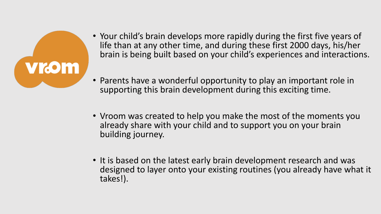

- Your child's brain develops more rapidly during the first five years of life than at any other time, and during these first 2000 days, his/her brain is being built based on your child's experiences and interactions.
- Parents have a wonderful opportunity to play an important role in supporting this brain development during this exciting time.
- Vroom was created to help you make the most of the moments you already share with your child and to support you on your brain building journey.
- It is based on the latest early brain development research and was designed to layer onto your existing routines (you already have what it takes!).